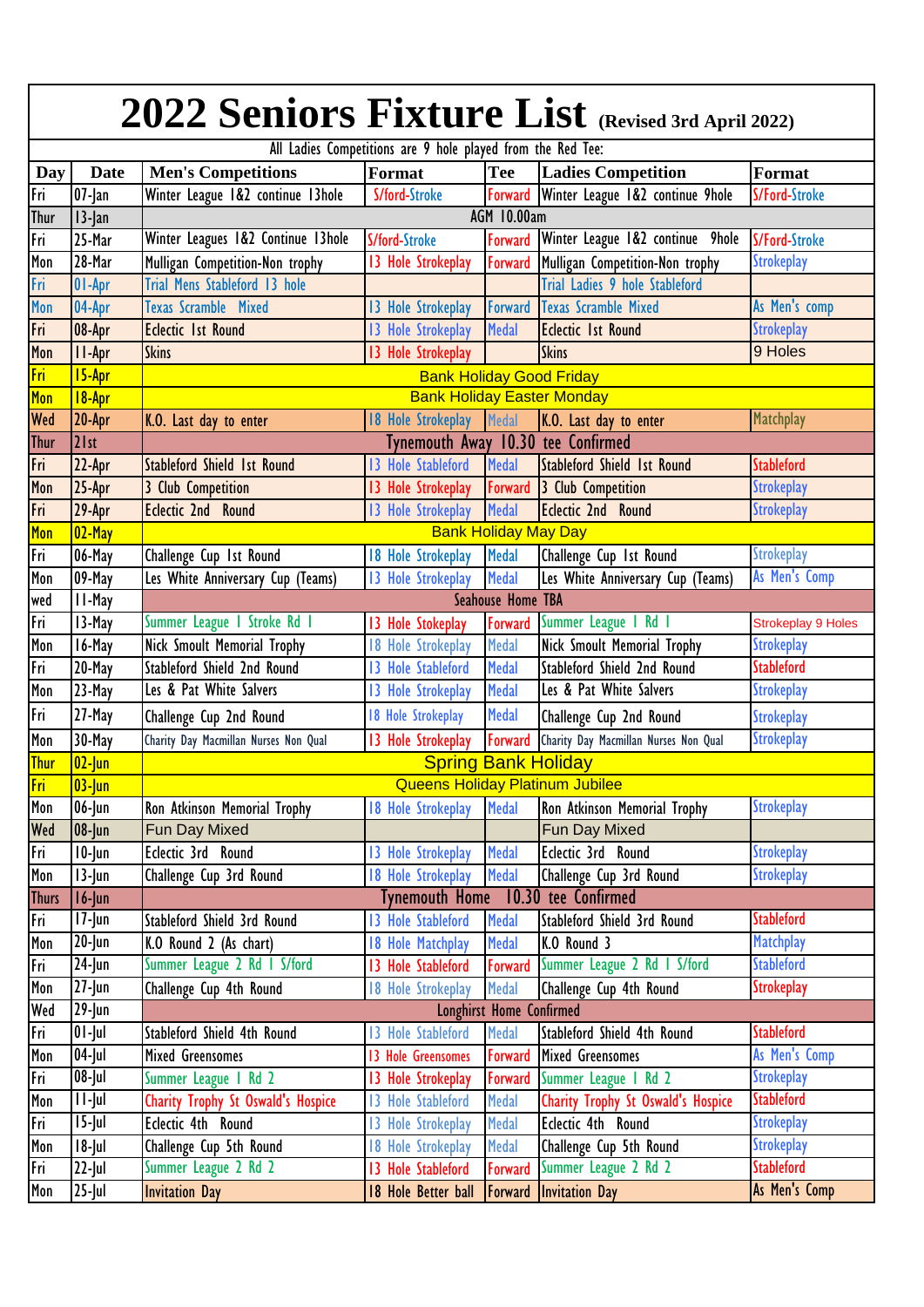| 2022 Seniors Fixture List (Revised 3rd April 2022)          |                      |                                           |                                    |                             |                                          |                                                |  |  |  |  |
|-------------------------------------------------------------|----------------------|-------------------------------------------|------------------------------------|-----------------------------|------------------------------------------|------------------------------------------------|--|--|--|--|
| All Ladies Competitions are 9 hole played from the Red Tee: |                      |                                           |                                    |                             |                                          |                                                |  |  |  |  |
| Day                                                         | <b>Date</b>          | <b>Men's Competitions</b>                 | Format                             | Tee                         | <b>Ladies Competition</b>                | Format                                         |  |  |  |  |
| Fri                                                         | $07$ -Jan            | Winter League 1&2 continue 13hole         | S/ford-Stroke                      | Forward                     | Winter League 1&2 continue 9hole         | S/Ford-Stroke                                  |  |  |  |  |
| <b>Thur</b>                                                 | $13$ -Jan            | <b>AGM 10.00am</b>                        |                                    |                             |                                          |                                                |  |  |  |  |
| Fri                                                         | 25-Mar               | Winter Leagues 1&2 Continue 13hole        | S/ford-Stroke                      |                             | Forward Winter League 1&2 continue 9hole | <b>S/Ford-Stroke</b>                           |  |  |  |  |
| Mon                                                         | 28-Mar               | Mulligan Competition-Non trophy           | 13 Hole Strokeplay                 | Forward                     | Mulligan Competition-Non trophy          | <b>Strokeplay</b>                              |  |  |  |  |
| Fri                                                         | 01-Apr               | Trial Mens Stableford 13 hole             |                                    |                             | Trial Ladies 9 hole Stableford           |                                                |  |  |  |  |
| Mon                                                         | 04-Apr               | <b>Texas Scramble Mixed</b>               | 13 Hole Strokeplay                 | Forward                     | <b>Texas Scramble Mixed</b>              | As Men's comp                                  |  |  |  |  |
| Fri                                                         | 08-Apr               | <b>Eclectic 1st Round</b>                 | 13 Hole Strokeplay                 | Medal                       | <b>Eclectic 1st Round</b>                | <b>Strokeplay</b>                              |  |  |  |  |
| Mon                                                         | II-Apr               | <b>Skins</b>                              | 13 Hole Strokeplay                 |                             | <b>Skins</b>                             | 9 Holes                                        |  |  |  |  |
| <b>Fri</b>                                                  | 15-Apr               | <b>Bank Holiday Good Friday</b>           |                                    |                             |                                          |                                                |  |  |  |  |
| Mon                                                         | 18-Apr               | <b>Bank Holiday Easter Monday</b>         |                                    |                             |                                          |                                                |  |  |  |  |
| <b>Wed</b>                                                  | 20-Apr               | K.O. Last day to enter                    | 18 Hole Strokeplay Medal           |                             | K.O. Last day to enter                   | Matchplay                                      |  |  |  |  |
| <b>Thur</b>                                                 | 21st                 |                                           | Tynemouth Away 10.30 tee Confirmed |                             |                                          |                                                |  |  |  |  |
| Fri                                                         | 22-Apr               | <b>Stableford Shield 1st Round</b>        | 13 Hole Stableford                 | <b>Medal</b>                | <b>Stableford Shield 1st Round</b>       | <b>Stableford</b>                              |  |  |  |  |
| Mon                                                         | 25-Apr               | 3 Club Competition                        | 13 Hole Strokeplay                 |                             | Forward 3 Club Competition               | <b>Strokeplay</b>                              |  |  |  |  |
| $\overline{\overline{\mathsf{f}}\mathsf{n}}$                | 29-Apr               | <b>Eclectic 2nd Round</b>                 | 13 Hole Strokeplay                 | <b>Medal</b>                | <b>Eclectic 2nd Round</b>                | <b>Strokeplay</b>                              |  |  |  |  |
| Mon                                                         | $02$ -May            |                                           |                                    | <b>Bank Holiday May Day</b> |                                          |                                                |  |  |  |  |
| Fri                                                         | 06-May               | Challenge Cup 1st Round                   | 18 Hole Strokeplay                 | <b>Medal</b>                | Challenge Cup 1st Round                  | <b>Strokeplay</b>                              |  |  |  |  |
| Mon                                                         | 09-May               | Les White Anniversary Cup (Teams)         | 13 Hole Strokeplay                 | <b>Medal</b>                | Les White Anniversary Cup (Teams)        | As Men's Comp                                  |  |  |  |  |
|                                                             | II-May               |                                           |                                    | <b>Seahouse Home TBA</b>    |                                          |                                                |  |  |  |  |
| wed<br>Fri                                                  |                      |                                           |                                    |                             | Summer League 1 Rd 1                     |                                                |  |  |  |  |
| Mon                                                         | 13-May               | Summer League I Stroke Rd I               | 13 Hole Stokeplay                  | Forward<br><b>Medal</b>     |                                          | <b>Strokeplay 9 Holes</b><br><b>Strokeplay</b> |  |  |  |  |
|                                                             | 16-May               | <b>Nick Smoult Memorial Trophy</b>        | 18 Hole Strokeplay                 |                             | <b>Nick Smoult Memorial Trophy</b>       | <b>Stableford</b>                              |  |  |  |  |
| Fri                                                         | 20-May               | Stableford Shield 2nd Round               | 13 Hole Stableford                 | <b>Medal</b>                | Stableford Shield 2nd Round              |                                                |  |  |  |  |
| Mon                                                         | 23-May               | Les & Pat White Salvers                   | 13 Hole Strokeplay                 | <b>Medal</b>                | Les & Pat White Salvers                  | <b>Strokeplay</b>                              |  |  |  |  |
| Fri                                                         | 27-May               | Challenge Cup 2nd Round                   | 18 Hole Strokeplay                 | <b>Medal</b>                | Challenge Cup 2nd Round                  | <b>Strokeplay</b>                              |  |  |  |  |
| Mon                                                         | 30-May               | Charity Day Macmillan Nurses Non Qual     | 13 Hole Strokeplay                 | Forward                     | Charity Day Macmillan Nurses Non Qual    | <b>Strokeplay</b>                              |  |  |  |  |
| <b>Thur</b>                                                 | $02$ -Jun            |                                           | <b>Spring Bank Holiday</b>         |                             |                                          |                                                |  |  |  |  |
| <u> Fri</u>                                                 | $03$ -Jun            | <b>Queens Holiday Platinum Jubilee</b>    |                                    |                             |                                          |                                                |  |  |  |  |
| Mon                                                         | $06$ -Jun            | Ron Atkinson Memorial Trophy              | 18 Hole Strokeplay                 | <b>Medal</b>                | Ron Atkinson Memorial Trophy             | <b>Strokeplay</b>                              |  |  |  |  |
| Wed                                                         | $08$ -Jun            | Fun Day Mixed                             |                                    |                             | Fun Day Mixed                            |                                                |  |  |  |  |
| Fri                                                         | $10$ -Jun            | Eclectic 3rd Round                        | 13 Hole Strokeplay                 | <b>Medal</b>                | Eclectic 3rd Round                       | <b>Strokeplay</b>                              |  |  |  |  |
| Mon                                                         | $13$ -Jun            | Challenge Cup 3rd Round                   | 18 Hole Strokeplay                 | <b>Medal</b>                | Challenge Cup 3rd Round                  | <b>Strokeplay</b>                              |  |  |  |  |
| <b>Thurs</b>                                                | $16$ -Jun            | Tynemouth Home 10.30 tee Confirmed        |                                    |                             |                                          |                                                |  |  |  |  |
| Fri                                                         | $17$ -Jun            | Stableford Shield 3rd Round               | 13 Hole Stableford                 | <b>Medal</b>                | Stableford Shield 3rd Round              | <b>Stableford</b>                              |  |  |  |  |
| Mon                                                         | $20$ -Jun            | K.O Round 2 (As chart)                    | 18 Hole Matchplay                  | <b>Medal</b>                | K.O Round 3                              | <b>Matchplay</b>                               |  |  |  |  |
| Fri                                                         | $\overline{24}$ -Jun | Summer League 2 Rd 1 S/ford               | 13 Hole Stableford                 | Forward                     | Summer League 2 Rd 1 S/ford              | <b>Stableford</b>                              |  |  |  |  |
| Mon                                                         | $27$ -Jun            | Challenge Cup 4th Round                   | 18 Hole Strokeplay                 | <b>Medal</b>                | Challenge Cup 4th Round                  | <b>Strokeplay</b>                              |  |  |  |  |
| Wed                                                         | $29$ -Jun            | Longhirst Home Confirmed                  |                                    |                             |                                          |                                                |  |  |  |  |
| Fri                                                         | $\overline{0}$ l-Jul | Stableford Shield 4th Round               | 13 Hole Stableford                 | Medal                       | Stableford Shield 4th Round              | <b>Stableford</b>                              |  |  |  |  |
| Mon                                                         | $\overline{04}$ -Jul | <b>Mixed Greensomes</b>                   | 13 Hole Greensomes                 | Forward                     | <b>Mixed Greensomes</b>                  | As Men's Comp                                  |  |  |  |  |
| Fri                                                         | $08$ -Jul            | Summer League   Rd 2                      | 13 Hole Strokeplay                 | Forward                     | Summer League 1 Rd 2                     | <b>Strokeplay</b>                              |  |  |  |  |
| Mon                                                         | $11$ -Jul            | <b>Charity Trophy St Oswald's Hospice</b> | 13 Hole Stableford                 | Medal                       | Charity Trophy St Oswald's Hospice       | <b>Stableford</b>                              |  |  |  |  |
| Fri                                                         | $15$ -Jul            | Eclectic 4th Round                        | 13 Hole Strokeplay                 | Medal                       | Eclectic 4th Round                       | <b>Strokeplay</b>                              |  |  |  |  |
| Mon                                                         | $18$ -Jul            | Challenge Cup 5th Round                   | 18 Hole Strokeplay                 | <b>Medal</b>                | Challenge Cup 5th Round                  | <b>Strokeplay</b>                              |  |  |  |  |
| Fri                                                         | $22$ -Jul            | Summer League 2 Rd 2                      | 13 Hole Stableford                 | Forward                     | Summer League 2 Rd 2                     | <b>Stableford</b>                              |  |  |  |  |
| Mon                                                         | $25$ -Jul            | <b>Invitation Day</b>                     | 18 Hole Better ball                | Forward                     | <b>Invitation Day</b>                    | As Men's Comp                                  |  |  |  |  |